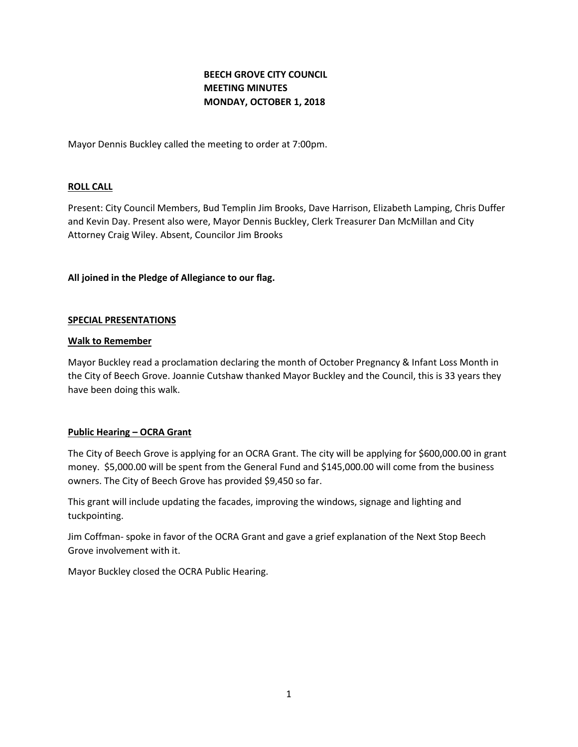# **BEECH GROVE CITY COUNCIL MEETING MINUTES MONDAY, OCTOBER 1, 2018**

Mayor Dennis Buckley called the meeting to order at 7:00pm.

# **ROLL CALL**

Present: City Council Members, Bud Templin Jim Brooks, Dave Harrison, Elizabeth Lamping, Chris Duffer and Kevin Day. Present also were, Mayor Dennis Buckley, Clerk Treasurer Dan McMillan and City Attorney Craig Wiley. Absent, Councilor Jim Brooks

# **All joined in the Pledge of Allegiance to our flag.**

#### **SPECIAL PRESENTATIONS**

#### **Walk to Remember**

Mayor Buckley read a proclamation declaring the month of October Pregnancy & Infant Loss Month in the City of Beech Grove. Joannie Cutshaw thanked Mayor Buckley and the Council, this is 33 years they have been doing this walk.

# **Public Hearing – OCRA Grant**

The City of Beech Grove is applying for an OCRA Grant. The city will be applying for \$600,000.00 in grant money. \$5,000.00 will be spent from the General Fund and \$145,000.00 will come from the business owners. The City of Beech Grove has provided \$9,450 so far.

This grant will include updating the facades, improving the windows, signage and lighting and tuckpointing.

Jim Coffman- spoke in favor of the OCRA Grant and gave a grief explanation of the Next Stop Beech Grove involvement with it.

Mayor Buckley closed the OCRA Public Hearing.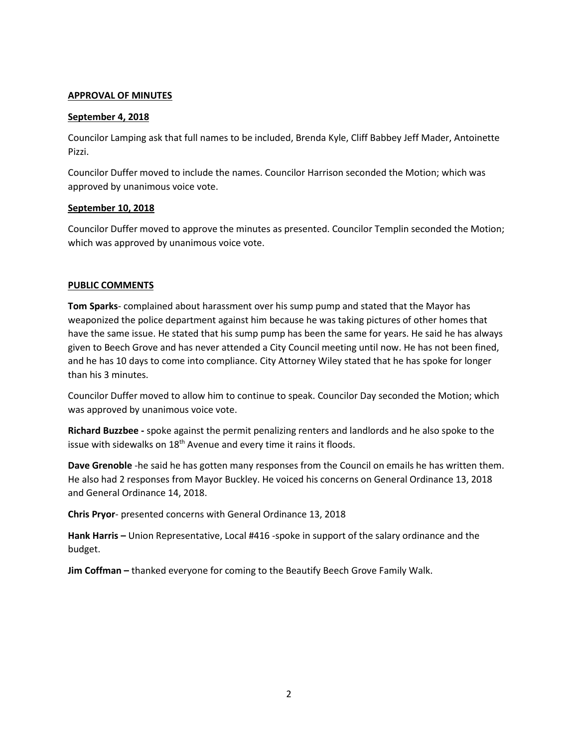### **APPROVAL OF MINUTES**

#### **September 4, 2018**

Councilor Lamping ask that full names to be included, Brenda Kyle, Cliff Babbey Jeff Mader, Antoinette Pizzi.

Councilor Duffer moved to include the names. Councilor Harrison seconded the Motion; which was approved by unanimous voice vote.

#### **September 10, 2018**

Councilor Duffer moved to approve the minutes as presented. Councilor Templin seconded the Motion; which was approved by unanimous voice vote.

# **PUBLIC COMMENTS**

**Tom Sparks**- complained about harassment over his sump pump and stated that the Mayor has weaponized the police department against him because he was taking pictures of other homes that have the same issue. He stated that his sump pump has been the same for years. He said he has always given to Beech Grove and has never attended a City Council meeting until now. He has not been fined, and he has 10 days to come into compliance. City Attorney Wiley stated that he has spoke for longer than his 3 minutes.

Councilor Duffer moved to allow him to continue to speak. Councilor Day seconded the Motion; which was approved by unanimous voice vote.

**Richard Buzzbee -** spoke against the permit penalizing renters and landlords and he also spoke to the issue with sidewalks on 18<sup>th</sup> Avenue and every time it rains it floods.

**Dave Grenoble** -he said he has gotten many responses from the Council on emails he has written them. He also had 2 responses from Mayor Buckley. He voiced his concerns on General Ordinance 13, 2018 and General Ordinance 14, 2018.

**Chris Pryor**- presented concerns with General Ordinance 13, 2018

**Hank Harris –** Union Representative, Local #416 -spoke in support of the salary ordinance and the budget.

**Jim Coffman –** thanked everyone for coming to the Beautify Beech Grove Family Walk.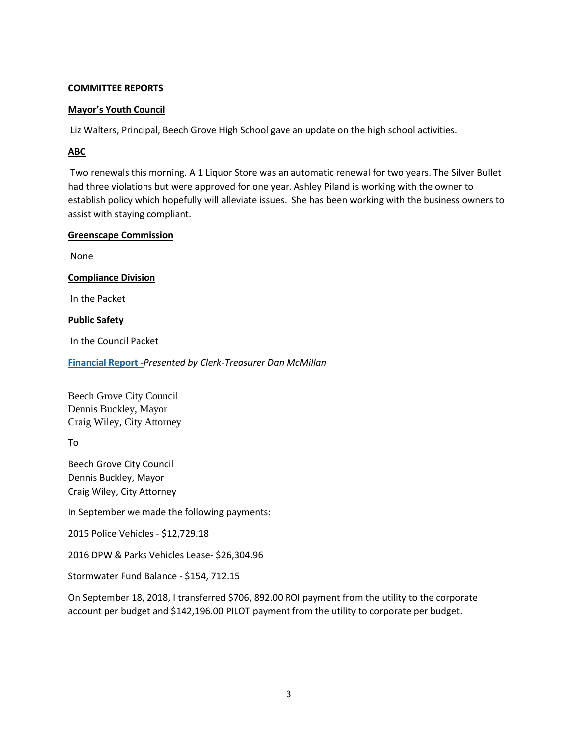# **COMMITTEE REPORTS**

# **Mayor's Youth Council**

Liz Walters, Principal, Beech Grove High School gave an update on the high school activities.

# **ABC**

Two renewals this morning. A 1 Liquor Store was an automatic renewal for two years. The Silver Bullet had three violations but were approved for one year. Ashley Piland is working with the owner to establish policy which hopefully will alleviate issues. She has been working with the business owners to assist with staying compliant.

#### **Greenscape Commission**

None

# **Compliance Division**

In the Packet

# **Public Safety**

In the Council Packet

**[Financial Report](http://www.beechgrove.com/uploads/1/0/1/2/10129925/october_2018_financial_report.pdf) -***Presented by Clerk-Treasurer Dan McMillan*

Beech Grove City Council Dennis Buckley, Mayor Craig Wiley, City Attorney

To

Beech Grove City Council Dennis Buckley, Mayor Craig Wiley, City Attorney

In September we made the following payments:

2015 Police Vehicles - \$12,729.18

2016 DPW & Parks Vehicles Lease- \$26,304.96

Stormwater Fund Balance - \$154, 712.15

On September 18, 2018, I transferred \$706, 892.00 ROI payment from the utility to the corporate account per budget and \$142,196.00 PILOT payment from the utility to corporate per budget.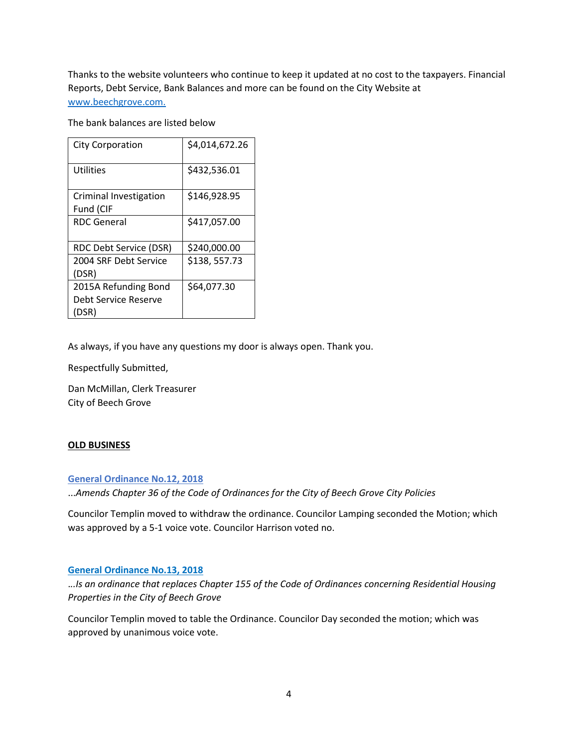Thanks to the website volunteers who continue to keep it updated at no cost to the taxpayers. Financial Reports, Debt Service, Bank Balances and more can be found on the City Website at [www.beechgrove.com.](file:///C:/Users/dan/Documents/www.beechgrove.com)

The bank balances are listed below

| <b>City Corporation</b> | \$4,014,672.26 |
|-------------------------|----------------|
| Utilities               | \$432,536.01   |
| Criminal Investigation  | \$146,928.95   |
| Fund (CIF               |                |
| <b>RDC</b> General      | \$417,057.00   |
| RDC Debt Service (DSR)  | \$240,000.00   |
| 2004 SRF Debt Service   | \$138,557.73   |
| (DSR)                   |                |
| 2015A Refunding Bond    | \$64,077.30    |
| Debt Service Reserve    |                |
| (DSR)                   |                |

As always, if you have any questions my door is always open. Thank you.

Respectfully Submitted,

Dan McMillan, Clerk Treasurer City of Beech Grove

# **OLD BUSINESS**

**[General Ordinance No.12, 2018](http://www.beechgrove.com/uploads/1/0/1/2/10129925/general_ordinance_12_2018.pdf)**

...*Amends Chapter 36 of the Code of Ordinances for the City of Beech Grove City Policies*

Councilor Templin moved to withdraw the ordinance. Councilor Lamping seconded the Motion; which was approved by a 5-1 voice vote. Councilor Harrison voted no.

# **[General Ordinance No.13, 2018](http://www.beechgrove.com/uploads/1/0/1/2/10129925/general_ordinance_13_2018.pdf)**

.*..Is an ordinance that replaces Chapter 155 of the Code of Ordinances concerning Residential Housing Properties in the City of Beech Grove*

Councilor Templin moved to table the Ordinance. Councilor Day seconded the motion; which was approved by unanimous voice vote.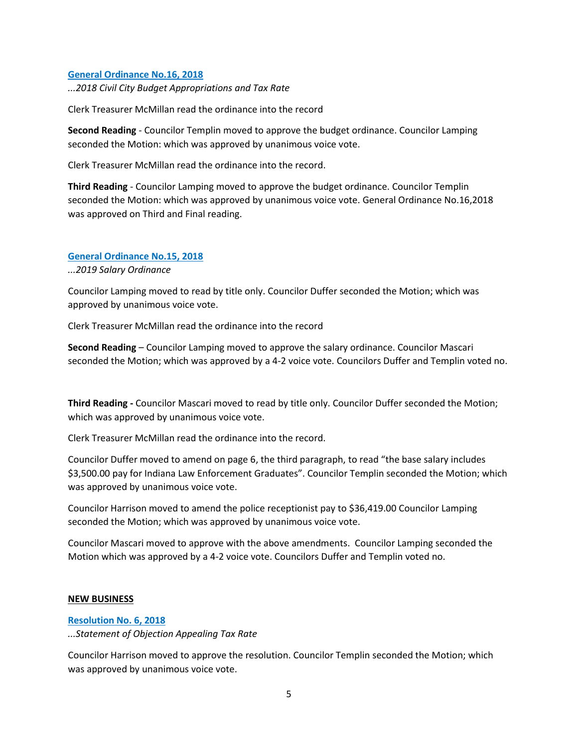#### **[General Ordinance No.16, 2018](http://www.beechgrove.com/uploads/1/0/1/2/10129925/general_ordinance_16_2018_complete_ord.pdf)**

*...2018 Civil City Budget Appropriations and Tax Rate*

Clerk Treasurer McMillan read the ordinance into the record

**Second Reading** - Councilor Templin moved to approve the budget ordinance. Councilor Lamping seconded the Motion: which was approved by unanimous voice vote.

Clerk Treasurer McMillan read the ordinance into the record.

**Third Reading** - Councilor Lamping moved to approve the budget ordinance. Councilor Templin seconded the Motion: which was approved by unanimous voice vote. General Ordinance No.16,2018 was approved on Third and Final reading.

#### **[General Ordinance No.15, 2018](http://www.beechgrove.com/uploads/1/0/1/2/10129925/2019_amended_salary_ordinance.pdf)**

*...2019 Salary Ordinance*

Councilor Lamping moved to read by title only. Councilor Duffer seconded the Motion; which was approved by unanimous voice vote.

Clerk Treasurer McMillan read the ordinance into the record

**Second Reading** – Councilor Lamping moved to approve the salary ordinance. Councilor Mascari seconded the Motion; which was approved by a 4-2 voice vote. Councilors Duffer and Templin voted no.

**Third Reading -** Councilor Mascari moved to read by title only. Councilor Duffer seconded the Motion; which was approved by unanimous voice vote.

Clerk Treasurer McMillan read the ordinance into the record.

Councilor Duffer moved to amend on page 6, the third paragraph, to read "the base salary includes \$3,500.00 pay for Indiana Law Enforcement Graduates". Councilor Templin seconded the Motion; which was approved by unanimous voice vote.

Councilor Harrison moved to amend the police receptionist pay to \$36,419.00 Councilor Lamping seconded the Motion; which was approved by unanimous voice vote.

Councilor Mascari moved to approve with the above amendments. Councilor Lamping seconded the Motion which was approved by a 4-2 voice vote. Councilors Duffer and Templin voted no.

#### **NEW BUSINESS**

#### **[Resolution No. 6, 2018](http://www.beechgrove.com/uploads/1/0/1/2/10129925/resolution_objection_of_tax_2018.pdf)**

*...Statement of Objection Appealing Tax Rate*

Councilor Harrison moved to approve the resolution. Councilor Templin seconded the Motion; which was approved by unanimous voice vote.